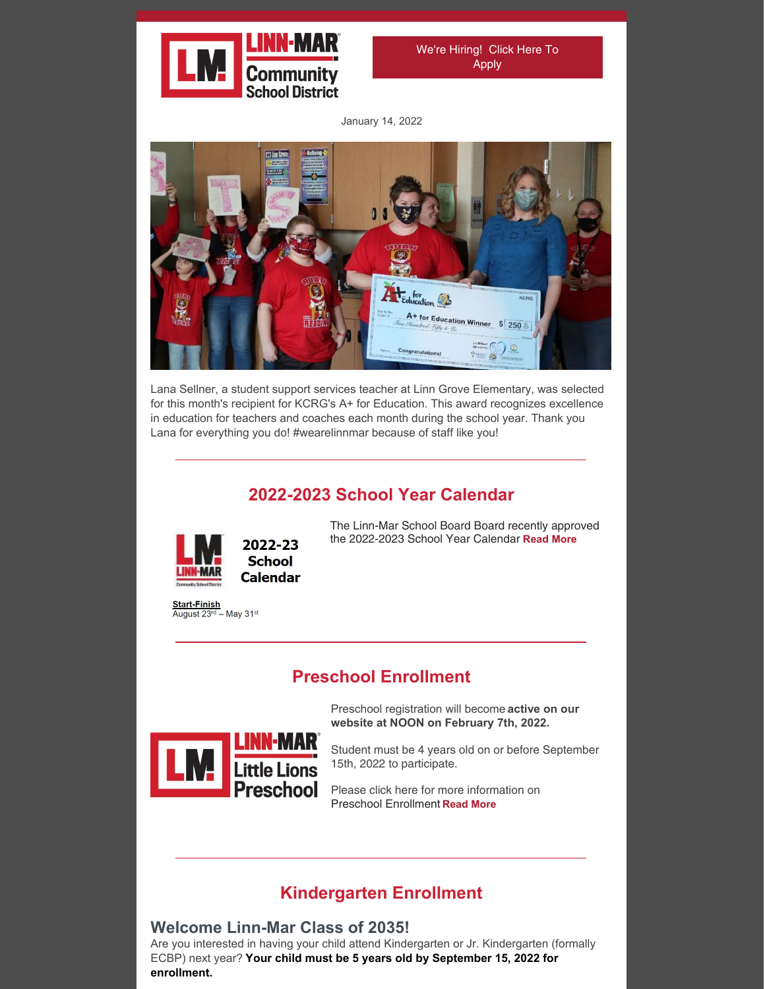

We're [Hiring!](https://www.linnmar.k12.ia.us/district/departments/human-resources/) Click Here To Apply

January 14, 2022



Lana Sellner, a student support services teacher at Linn Grove Elementary, was selected for this month's recipient for KCRG's A+ for Education. This award recognizes excellence in education for teachers and coaches each month during the school year. Thank you Lana for everything you do! #wearelinnmar because of staff like you!

## **2022-2023 School Year Calendar**



**School Calendar** 

Start-Finish<br>August 23<sup>rd</sup> – May 31<sup>st</sup>

The Linn-Mar School Board Board recently approved the 2022-2023 School Year Calendar **[Read](https://www.linnmar.k12.ia.us/wp-content/uploads/2022/01/2022-23-School-Year-Calendar-Board-Approved.pdf) More**

## **Preschool Enrollment**

Preschool registration will become **active on our website at NOON on February 7th, 2022.**



Student must be 4 years old on or before September 15th, 2022 to participate.

Please click here for more information on Preschool Enrollment **[Read](https://www.linnmar.k12.ia.us/schools/early-childhood/little-lions-preschool/little-lions-preschool-registration-information/) More**

## **Kindergarten Enrollment**

### **Welcome Linn-Mar Class of 2035!**

Are you interested in having your child attend Kindergarten or Jr. Kindergarten (formally ECBP) next year? **Your child must be 5 years old by September 15, 2022 for enrollment.**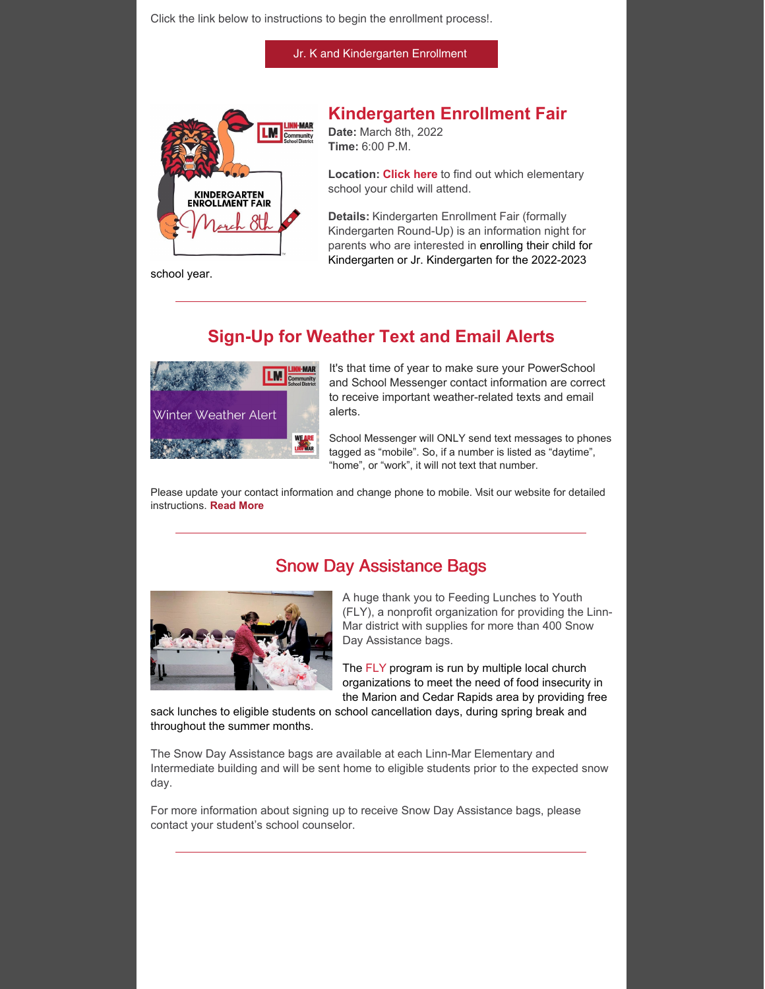Click the link below to instructions to begin the enrollment process!.

Jr. K and [Kindergarten](https://www.linnmar.k12.ia.us/enroll/jr-k-and-kindergarten-enrollment/) Enrollment



## **Kindergarten Enrollment Fair**

**Date:** March 8th, 2022 **Time:** 6:00 P.M.

**Location: [Click](https://gis.linncountyiowa.gov/apps/miscellaneous/school-attendance-area/) here** to find out which elementary school your child will attend.

**Details:** Kindergarten Enrollment Fair (formally Kindergarten Round-Up) is an information night for parents who are interested in enrolling their child for Kindergarten or Jr. Kindergarten for the 2022-2023

school year.

# **Sign-Up for Weather Text and Email Alerts**



It's that time of year to make sure your PowerSchool and School Messenger contact information are correct to receive important weather-related texts and email alerts.

School Messenger will ONLY send text messages to phones tagged as "mobile". So, if a number is listed as "daytime", "home", or "work", it will not text that number.

Please update your contact information and change phone to mobile. Visit our website for detailed instructions. **[Read](https://www.linnmar.k12.ia.us/district/cancelations-and-delays/) More**

### Snow Day Assistance Bags



A huge thank you to Feeding Lunches to Youth (FLY), a nonprofit organization for providing the Linn-Mar district with supplies for more than 400 Snow Day Assistance bags.

The [FLY](https://www.facebook.com/Feeding-Lunches-to-Youth-MarionCedar-Rapids-103359144808280/) program is run by multiple local church organizations to meet the need of food insecurity in the Marion and Cedar Rapids area by providing free

sack lunches to eligible students on school cancellation days, during spring break and throughout the summer months.

The Snow Day Assistance bags are available at each Linn-Mar Elementary and Intermediate building and will be sent home to eligible students prior to the expected snow day.

For more information about signing up to receive Snow Day Assistance bags, please contact your student's school counselor.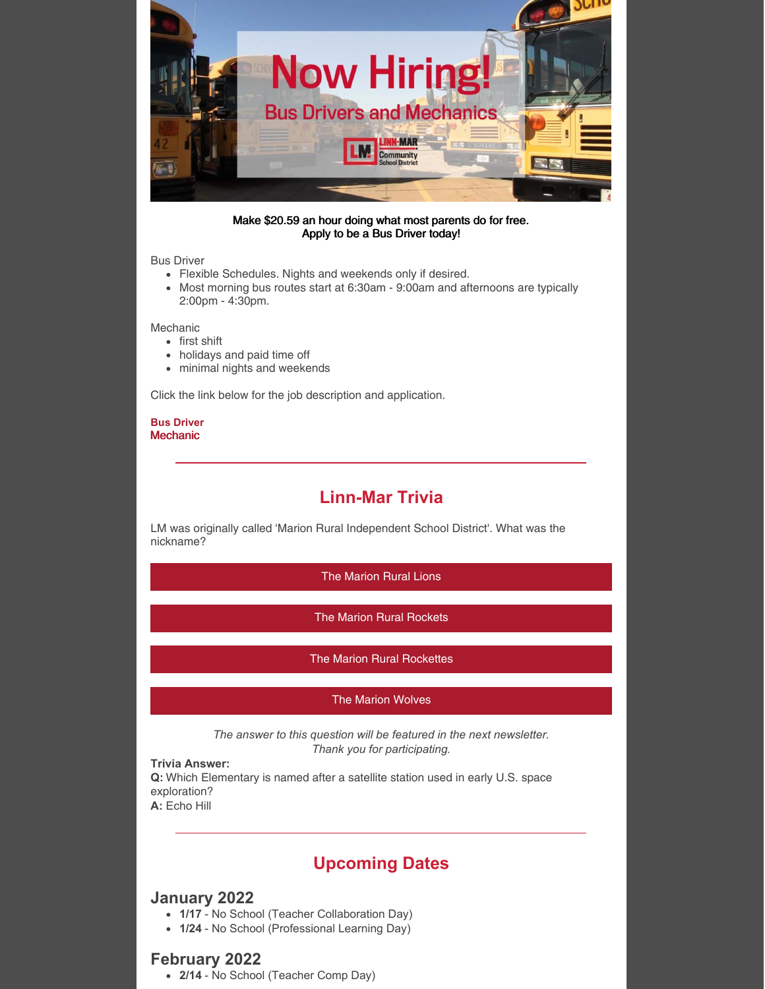

#### Make \$20.59 an hour doing what most parents do for free. Apply to be a Bus Driver today!

### Bus Driver

- Flexible Schedules. Nights and weekends only if desired.
- Most morning bus routes start at 6:30am 9:00am and afternoons are typically 2:00pm - 4:30pm.

Mechanic

- first shift
- holidays and paid time off
- minimal nights and weekends

Click the link below for the job description and application.

#### **Bus [Driver](https://www.applitrack.com/linnmar/onlineapp/jobpostings/view.asp?internaltransferform.Url=&category=Support+Staff&subcategory=Bus+Driver) [Mechanic](https://www.applitrack.com/linnmar/onlineapp/jobpostings/view.asp?category=Support+Staff&subcategory=Other)**

## **Linn-Mar Trivia**

LM was originally called 'Marion Rural Independent School District'. What was the nickname?

The [Marion](https://campaignlp.constantcontact.com/forms/response?id=s2K4AWIFKOGZUmMHsQsScA2t9mHnmSeJ4cnemIkAd2ntOn2cVPeq4rZVeUjfXPIapzRMN9rUN68DxGQ4gqo_mUN3yd_HodNlnpzgiUyuFcpuusdR_6hD1KzZLYH6eS2B2IGlmgFtp8IV68frpnp_kT7InuqNk09BKsWhCDdAmGTrvWks2s6VODR6ncceWQ_LuzWk_BooTyXFYMefTsr-aw&encVer=1&c=&ch=) Rural Lions

The Marion Rural [Rockets](https://campaignlp.constantcontact.com/forms/response?id=s2K4AWIFKOGZUmMHsQsScA2t9mHnmSeJ4cnemIkAd2ntOn2cVPeq4rZVeUjfXPIapzRMN9rUN68DxGQ4gqo_mUN3yd_HodNlnpzgiUyuFcpuusdR_6hD1KzZLYH6eS2B2IGlmgFtp8IV68frpnp_kT7InuqNk09BKsWhCDdAmGTrvWks2s6VODR6ncceWQ_LuzWk_BooTyXXN6S9LkQxSg&encVer=1&c=&ch=)

The Marion Rural [Rockettes](https://campaignlp.constantcontact.com/forms/response?id=s2K4AWIFKOGZUmMHsQsScA2t9mHnmSeJ4cnemIkAd2ntOn2cVPeq4rZVeUjfXPIapzRMN9rUN68DxGQ4gqo_mUN3yd_HodNlnpzgiUyuFcpuusdR_6hD1KzZLYH6eS2B2IGlmgFtp8IV68frpnp_kT7InuqNk09BKsWhCDdAmGTrvWks2s6VODR6ncceWQ_LuzWk_BooTyWrUSvPlZJhEA&encVer=1&c=&ch=)

### The Marion [Wolves](https://campaignlp.constantcontact.com/forms/response?id=s2K4AWIFKOGZUmMHsQsScA2t9mHnmSeJ4cnemIkAd2ntOn2cVPeq4rZVeUjfXPIapzRMN9rUN68DxGQ4gqo_mUN3yd_HodNlnpzgiUyuFcpuusdR_6hD1KzZLYH6eS2B2IGlmgFtp8IV68frpnp_kT7InuqNk09BKsWhCDdAmGTrvWks2s6VODR6ncceWQ_LuzWk_BooTyUTQGQFfhqn8g&encVer=1&c=&ch=)

*The answer to this question will be featured in the next newsletter. Thank you for participating.*

#### **Trivia Answer:**

**Q:** Which Elementary is named after a satellite station used in early U.S. space exploration? **A:** Echo Hill

**Upcoming Dates**

### **January 2022**

- **1/17** No School (Teacher Collaboration Day)
- **1/24** No School (Professional Learning Day)

### **February 2022**

**2/14** - No School (Teacher Comp Day)